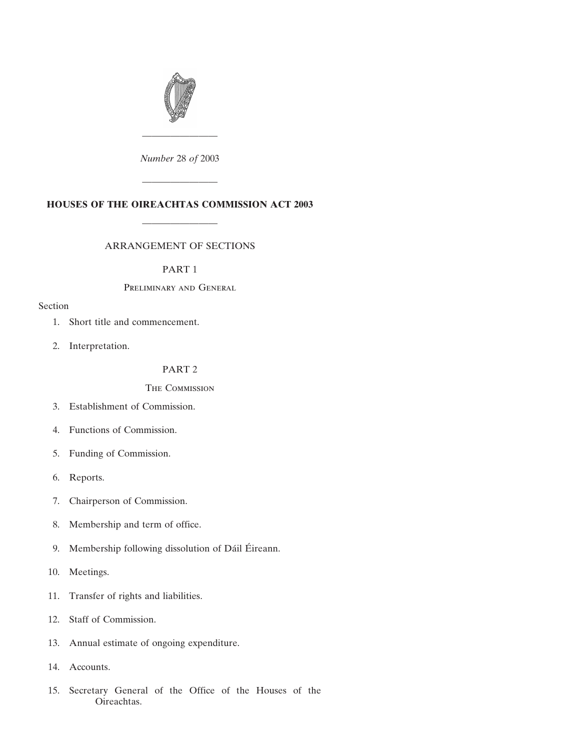

*Number* 28 *of* 2003

————————

————————

# **HOUSES OF THE OIREACHTAS COMMISSION ACT 2003**

————————

## ARRANGEMENT OF SECTIONS

#### PART 1

## Preliminary and General

## Section

- [1. Short title and commencement.](#page-2-0)
- [2. Interpretation.](#page-2-0)

# PART 2

## The Commission

- [3. Establishment of Commission.](#page-3-0)
- [4. Functions of Commission.](#page-4-0)
- [5. Funding of Commission.](#page-8-0)
- [6. Reports.](#page-8-0)
- [7. Chairperson of Commission.](#page-8-0)
- [8. Membership and term of office.](#page-9-0)
- 9. Membership following dissolution of Dáil Éireann.
- [10. Meetings.](#page-12-0)
- [11. Transfer of rights and liabilities.](#page-12-0)
- [12. Staff of Commission.](#page-13-0)
- [13. Annual estimate of ongoing expenditure.](#page-14-0)
- [14. Accounts.](#page-15-0)
- [15. Secretary General of the Office of the Houses of the](#page-16-0) [Oireachtas.](#page-16-0)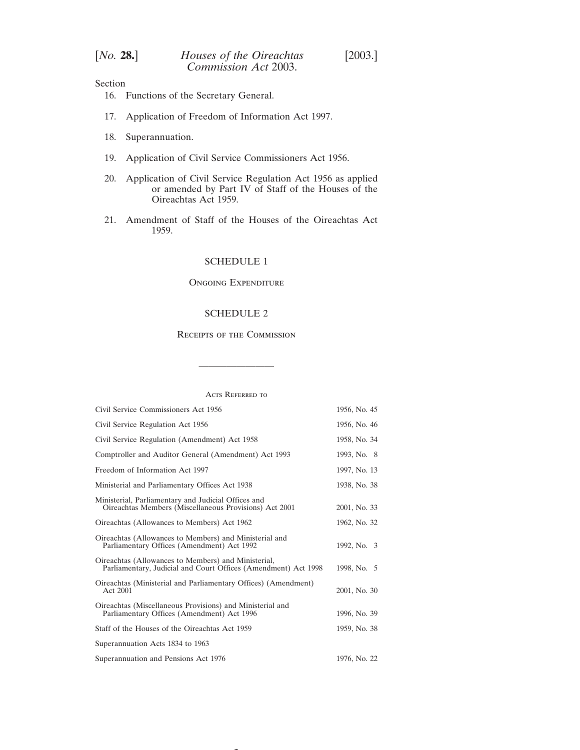| [No. 28.] | Houses of the Oireachtas | [2003.] |
|-----------|--------------------------|---------|
|           | Commission Act 2003.     |         |

Section

- [16. Functions of the Secretary General.](#page-16-0)
- [17. Application of Freedom of Information Act 1997.](#page-18-0)
- [18. Superannuation.](#page-19-0)
- [19. Application of Civil Service Commissioners Act 1956.](#page-19-0)
- [20. Application of Civil Service Regulation Act 1956 as applied](#page-19-0) [or amended by Part IV of Staff of the Houses of the](#page-19-0) [Oireachtas Act 1959.](#page-19-0)
- [21. Amendment of Staff of the Houses of the Oireachtas Act](#page-21-0) [1959.](#page-21-0)

# [SCHEDULE 1](#page-22-0)

#### Ongoing Expenditure

## [SCHEDULE 2](#page-23-0)

## Receipts of the Commission

Acts Referred to

————————

| Civil Service Commissioners Act 1956                                                                                  | 1956, No. 45 |
|-----------------------------------------------------------------------------------------------------------------------|--------------|
| Civil Service Regulation Act 1956                                                                                     | 1956, No. 46 |
| Civil Service Regulation (Amendment) Act 1958                                                                         | 1958, No. 34 |
| Comptroller and Auditor General (Amendment) Act 1993                                                                  | 1993, No. 8  |
| Freedom of Information Act 1997                                                                                       | 1997, No. 13 |
| Ministerial and Parliamentary Offices Act 1938                                                                        | 1938, No. 38 |
| Ministerial, Parliamentary and Judicial Offices and<br>Oireachtas Members (Miscellaneous Provisions) Act 2001         | 2001, No. 33 |
| Oireachtas (Allowances to Members) Act 1962                                                                           | 1962, No. 32 |
| Oireachtas (Allowances to Members) and Ministerial and<br>Parliamentary Offices (Amendment) Act 1992                  | 1992, No. 3  |
| Oireachtas (Allowances to Members) and Ministerial,<br>Parliamentary, Judicial and Court Offices (Amendment) Act 1998 | 1998, No. 5  |
| Oireachtas (Ministerial and Parliamentary Offices) (Amendment)<br>Act 2001                                            | 2001, No. 30 |
| Oireachtas (Miscellaneous Provisions) and Ministerial and<br>Parliamentary Offices (Amendment) Act 1996               | 1996, No. 39 |
| Staff of the Houses of the Oireachtas Act 1959                                                                        | 1959, No. 38 |
| Superannuation Acts 1834 to 1963                                                                                      |              |
| Superannuation and Pensions Act 1976                                                                                  | 1976, No. 22 |

 $\overline{\phantom{a}}$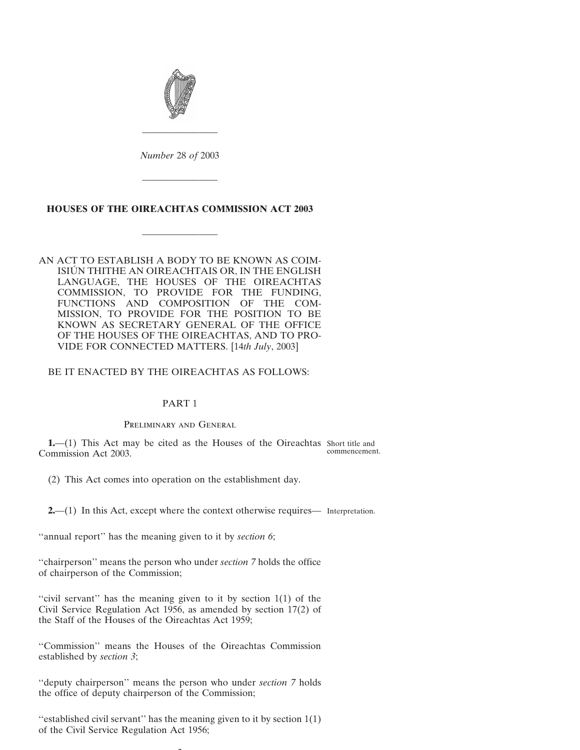<span id="page-2-0"></span>

*Number* 28 *of* 2003

————————

————————

# **HOUSES OF THE OIREACHTAS COMMISSION ACT 2003**

————————

AN ACT TO ESTABLISH A BODY TO BE KNOWN AS COIM-ISIÚN THITHE AN OIREACHTAIS OR, IN THE ENGLISH LANGUAGE, THE HOUSES OF THE OIREACHTAS COMMISSION, TO PROVIDE FOR THE FUNDING, FUNCTIONS AND COMPOSITION OF THE COM-MISSION, TO PROVIDE FOR THE POSITION TO BE KNOWN AS SECRETARY GENERAL OF THE OFFICE OF THE HOUSES OF THE OIREACHTAS, AND TO PRO-VIDE FOR CONNECTED MATTERS. [14*th July*, 2003]

## BE IT ENACTED BY THE OIREACHTAS AS FOLLOWS:

#### PART 1

#### Preliminary and General

**1.**—(1) This Act may be cited as the Houses of the Oireachtas Short title and Commission Act 2003. commencement.

(2) This Act comes into operation on the establishment day.

**2.**—(1) In this Act, except where the context otherwise requires— Interpretation.

"annual report" has the meaning given to it by *section 6*;

''chairperson'' means the person who under *section 7* holds the office of chairperson of the Commission;

"civil servant" has the meaning given to it by section  $1(1)$  of the Civil Service Regulation Act 1956, as amended by section 17(2) of the Staff of the Houses of the Oireachtas Act 1959;

''Commission'' means the Houses of the Oireachtas Commission established by *section 3*;

''deputy chairperson'' means the person who under *section 7* holds the office of deputy chairperson of the Commission;

"established civil servant" has the meaning given to it by section  $1(1)$ of the Civil Service Regulation Act 1956;

 $\sim$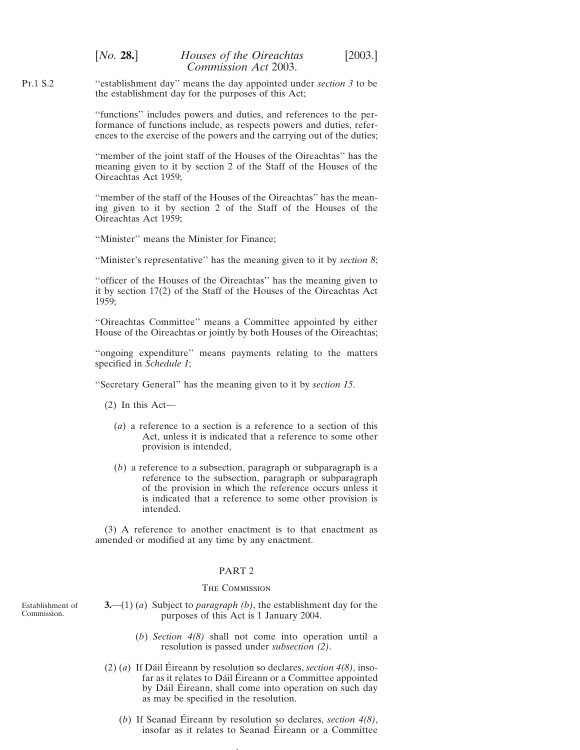<span id="page-3-0"></span>Pt.1 S.2 ''establishment day'' means the day appointed under *section 3* to be the establishment day for the purposes of this Act;

> ''functions'' includes powers and duties, and references to the performance of functions include, as respects powers and duties, references to the exercise of the powers and the carrying out of the duties;

> ''member of the joint staff of the Houses of the Oireachtas'' has the meaning given to it by section 2 of the Staff of the Houses of the Oireachtas Act 1959;

> ''member of the staff of the Houses of the Oireachtas'' has the meaning given to it by section 2 of the Staff of the Houses of the Oireachtas Act 1959;

''Minister'' means the Minister for Finance;

''Minister's representative'' has the meaning given to it by *section 8*;

''officer of the Houses of the Oireachtas'' has the meaning given to it by section 17(2) of the Staff of the Houses of the Oireachtas Act 1959;

''Oireachtas Committee'' means a Committee appointed by either House of the Oireachtas or jointly by both Houses of the Oireachtas;

''ongoing expenditure'' means payments relating to the matters specified in *Schedule 1*;

''Secretary General'' has the meaning given to it by *section 15*.

(2) In this Act—

- (*a*) a reference to a section is a reference to a section of this Act, unless it is indicated that a reference to some other provision is intended,
- (*b*) a reference to a subsection, paragraph or subparagraph is a reference to the subsection, paragraph or subparagraph of the provision in which the reference occurs unless it is indicated that a reference to some other provision is intended.

(3) A reference to another enactment is to that enactment as amended or modified at any time by any enactment.

#### PART 2

#### The Commission

- Establishment of Commission.
- **3.**—(1) (*a*) Subject to *paragraph (b)*, the establishment day for the purposes of this Act is 1 January 2004.
	- (*b*) *Section 4(8)* shall not come into operation until a resolution is passed under *subsection (2)*.
- (2) (*a*) If Dáil Éireann by resolution so declares, *section*  $4(8)$ , insofar as it relates to Dáil Éireann or a Committee appointed by Dáil Éireann, shall come into operation on such day as may be specified in the resolution.
	- (*b*) If Seanad Éireann by resolution so declares, *section*  $4(8)$ , insofar as it relates to Seanad Éireann or a Committee

4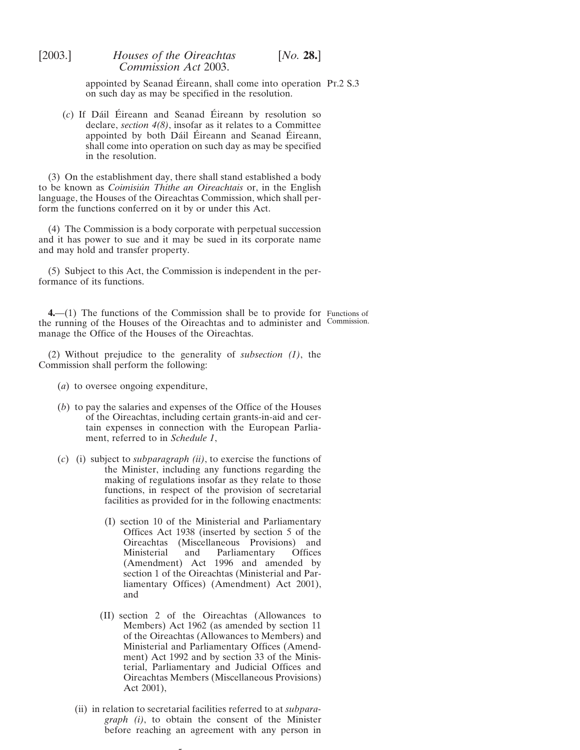> <span id="page-4-0"></span>appointed by Seanad Éireann, shall come into operation Pr.2 S.3 on such day as may be specified in the resolution.

(*c*) If Dáil Éireann and Seanad Éireann by resolution so declare, *section 4(8)*, insofar as it relates to a Committee appointed by both Dáil Éireann and Seanad Éireann, shall come into operation on such day as may be specified in the resolution.

(3) On the establishment day, there shall stand established a body to be known as *Coimisiu´n Thithe an Oireachtais* or, in the English language, the Houses of the Oireachtas Commission, which shall perform the functions conferred on it by or under this Act.

(4) The Commission is a body corporate with perpetual succession and it has power to sue and it may be sued in its corporate name and may hold and transfer property.

(5) Subject to this Act, the Commission is independent in the performance of its functions.

**4.**—(1) The functions of the Commission shall be to provide for Functions of the running of the Houses of the Oireachtas and to administer and Commission.manage the Office of the Houses of the Oireachtas.

(2) Without prejudice to the generality of *subsection (1)*, the Commission shall perform the following:

- (*a*) to oversee ongoing expenditure,
- (*b*) to pay the salaries and expenses of the Office of the Houses of the Oireachtas, including certain grants-in-aid and certain expenses in connection with the European Parliament, referred to in *Schedule 1*,
- (*c*) (i) subject to *subparagraph (ii)*, to exercise the functions of the Minister, including any functions regarding the making of regulations insofar as they relate to those functions, in respect of the provision of secretarial facilities as provided for in the following enactments:
	- (I) section 10 of the Ministerial and Parliamentary Offices Act 1938 (inserted by section 5 of the Oireachtas (Miscellaneous Provisions) and Ministerial and Parliamentary Offices (Amendment) Act 1996 and amended by section 1 of the Oireachtas (Ministerial and Parliamentary Offices) (Amendment) Act 2001), and
	- (II) section 2 of the Oireachtas (Allowances to Members) Act 1962 (as amended by section 11 of the Oireachtas (Allowances to Members) and Ministerial and Parliamentary Offices (Amendment) Act 1992 and by section 33 of the Ministerial, Parliamentary and Judicial Offices and Oireachtas Members (Miscellaneous Provisions) Act 2001),
	- (ii) in relation to secretarial facilities referred to at *subparagraph (i)*, to obtain the consent of the Minister before reaching an agreement with any person in

 $\overline{a}$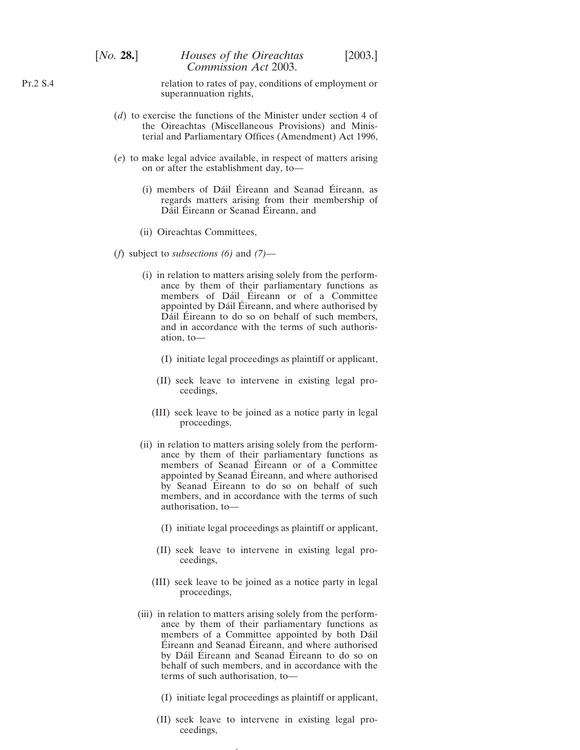relation to rates of pay, conditions of employment or superannuation rights,

- (*d*) to exercise the functions of the Minister under section 4 of the Oireachtas (Miscellaneous Provisions) and Ministerial and Parliamentary Offices (Amendment) Act 1996,
- (*e*) to make legal advice available, in respect of matters arising on or after the establishment day, to—
	- (i) members of Dáil Éireann and Seanad Éireann, as regards matters arising from their membership of Dáil Éireann or Seanad Éireann, and
	- (ii) Oireachtas Committees,
- (*f*) subject to *subsections (6)* and *(7)*
	- (i) in relation to matters arising solely from the performance by them of their parliamentary functions as members of Dáil Éireann or of a Committee appointed by Dáil Éireann, and where authorised by Dáil Éireann to do so on behalf of such members, and in accordance with the terms of such authorisation, to—
		- (I) initiate legal proceedings as plaintiff or applicant,
		- (II) seek leave to intervene in existing legal proceedings,
		- (III) seek leave to be joined as a notice party in legal proceedings,
	- (ii) in relation to matters arising solely from the performance by them of their parliamentary functions as members of Seanad Éireann or of a Committee appointed by Seanad Éireann, and where authorised by Seanad Éireann to do so on behalf of such members, and in accordance with the terms of such authorisation, to—
		- (I) initiate legal proceedings as plaintiff or applicant,
		- (II) seek leave to intervene in existing legal proceedings,
		- (III) seek leave to be joined as a notice party in legal proceedings,
	- (iii) in relation to matters arising solely from the performance by them of their parliamentary functions as members of a Committee appointed by both Dáil Éireann and Seanad Éireann, and where authorised by Dáil Éireann and Seanad Éireann to do so on behalf of such members, and in accordance with the terms of such authorisation, to—
		- (I) initiate legal proceedings as plaintiff or applicant,
		- (II) seek leave to intervene in existing legal proceedings,

6

Pt.2 S.4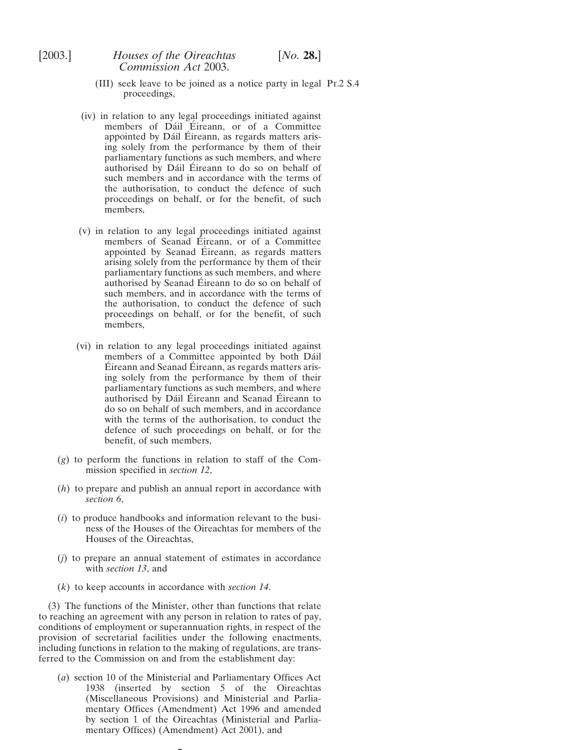- (III) seek leave to be joined as a notice party in legal Pt.2 S.4 proceedings,
- (iv) in relation to any legal proceedings initiated against members of Dáil Éireann, or of a Committee appointed by Dáil Éireann, as regards matters arising solely from the performance by them of their parliamentary functions as such members, and where authorised by Dáil Éireann to do so on behalf of such members and in accordance with the terms of the authorisation, to conduct the defence of such proceedings on behalf, or for the benefit, of such members,
- (v) in relation to any legal proceedings initiated against members of Seanad Éireann, or of a Committee appointed by Seanad Éireann, as regards matters arising solely from the performance by them of their parliamentary functions as such members, and where authorised by Seanad Éireann to do so on behalf of such members, and in accordance with the terms of the authorisation, to conduct the defence of such proceedings on behalf, or for the benefit, of such members,
- (vi) in relation to any legal proceedings initiated against members of a Committee appointed by both Dáil Eireann and Seanad Eireann, as regards matters arising solely from the performance by them of their parliamentary functions as such members, and where authorised by Dáil Éireann and Seanad Éireann to do so on behalf of such members, and in accordance with the terms of the authorisation, to conduct the defence of such proceedings on behalf, or for the benefit, of such members,
- (*g*) to perform the functions in relation to staff of the Commission specified in *section 12*,
- (*h*) to prepare and publish an annual report in accordance with *section 6*,
- (*i*) to produce handbooks and information relevant to the business of the Houses of the Oireachtas for members of the Houses of the Oireachtas,
- (*j*) to prepare an annual statement of estimates in accordance with *section 13*, and
- (*k*) to keep accounts in accordance with *section 14*.

(3) The functions of the Minister, other than functions that relate to reaching an agreement with any person in relation to rates of pay, conditions of employment or superannuation rights, in respect of the provision of secretarial facilities under the following enactments, including functions in relation to the making of regulations, are transferred to the Commission on and from the establishment day:

(*a*) section 10 of the Ministerial and Parliamentary Offices Act 1938 (inserted by section 5 of the Oireachtas (Miscellaneous Provisions) and Ministerial and Parliamentary Offices (Amendment) Act 1996 and amended by section 1 of the Oireachtas (Ministerial and Parliamentary Offices) (Amendment) Act 2001), and

 $\overline{\phantom{0}}$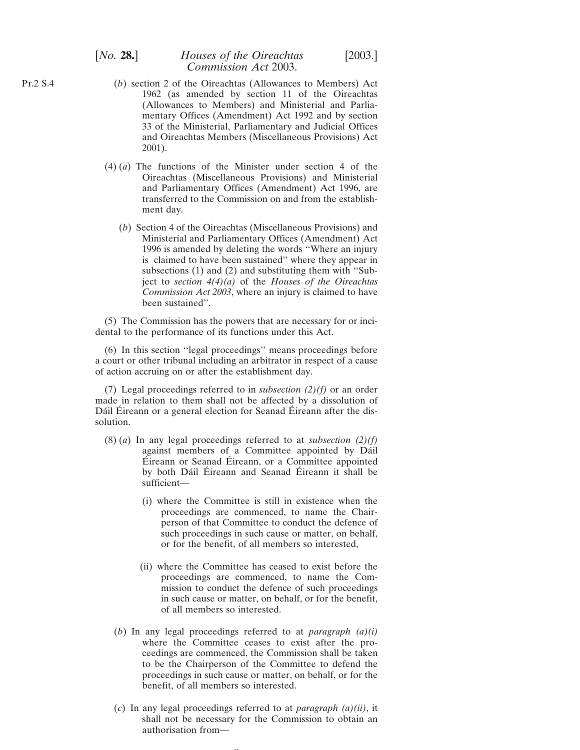## [*No.* **28.**] *Houses of the Oireachtas* [2003.] *Commission Act* 2003.

- (*b*) section 2 of the Oireachtas (Allowances to Members) Act 1962 (as amended by section 11 of the Oireachtas (Allowances to Members) and Ministerial and Parliamentary Offices (Amendment) Act 1992 and by section 33 of the Ministerial, Parliamentary and Judicial Offices and Oireachtas Members (Miscellaneous Provisions) Act 2001).
- (4) (*a*) The functions of the Minister under section 4 of the Oireachtas (Miscellaneous Provisions) and Ministerial and Parliamentary Offices (Amendment) Act 1996, are transferred to the Commission on and from the establishment day.
	- (*b*) Section 4 of the Oireachtas (Miscellaneous Provisions) and Ministerial and Parliamentary Offices (Amendment) Act 1996 is amended by deleting the words ''Where an injury is claimed to have been sustained'' where they appear in subsections (1) and (2) and substituting them with ''Subject to *section 4(4)(a)* of the *Houses of the Oireachtas Commission Act 2003*, where an injury is claimed to have been sustained''.

(5) The Commission has the powers that are necessary for or incidental to the performance of its functions under this Act.

(6) In this section ''legal proceedings'' means proceedings before a court or other tribunal including an arbitrator in respect of a cause of action accruing on or after the establishment day.

(7) Legal proceedings referred to in *subsection (2)(f)* or an order made in relation to them shall not be affected by a dissolution of Dáil Éireann or a general election for Seanad Éireann after the dissolution.

- (8) (*a*) In any legal proceedings referred to at *subsection (2)(f)* against members of a Committee appointed by Dáil Éireann or Seanad Éireann, or a Committee appointed by both Dáil Éireann and Seanad Éireann it shall be sufficient—
	- (i) where the Committee is still in existence when the proceedings are commenced, to name the Chairperson of that Committee to conduct the defence of such proceedings in such cause or matter, on behalf, or for the benefit, of all members so interested,
	- (ii) where the Committee has ceased to exist before the proceedings are commenced, to name the Commission to conduct the defence of such proceedings in such cause or matter, on behalf, or for the benefit, of all members so interested.
	- (*b*) In any legal proceedings referred to at *paragraph (a)(i)* where the Committee ceases to exist after the proceedings are commenced, the Commission shall be taken to be the Chairperson of the Committee to defend the proceedings in such cause or matter, on behalf, or for the benefit, of all members so interested.
	- (*c*) In any legal proceedings referred to at *paragraph (a)(ii)*, it shall not be necessary for the Commission to obtain an authorisation from—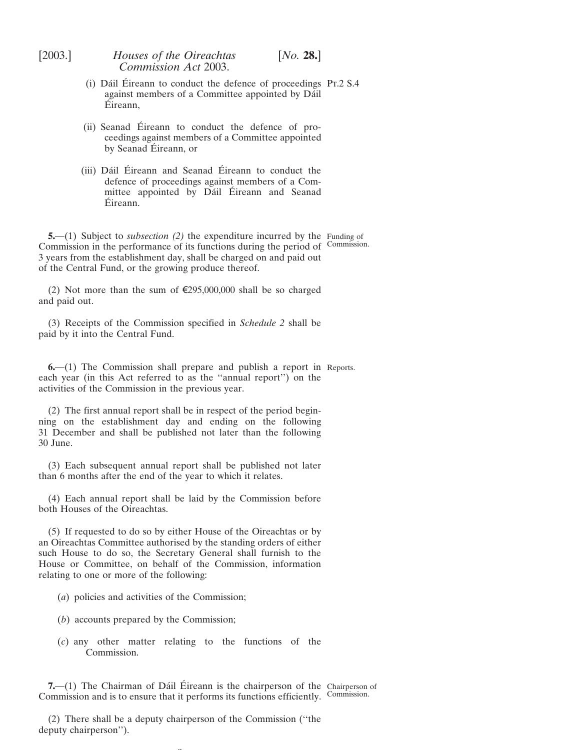<span id="page-8-0"></span>

| [2003.]       | Houses of the Oireachtas<br>Commission Act 2003.                                                                                                                                                                                                                                                      | [No. 28.] |  |
|---------------|-------------------------------------------------------------------------------------------------------------------------------------------------------------------------------------------------------------------------------------------------------------------------------------------------------|-----------|--|
|               | (i) Dáil Éireann to conduct the defence of proceedings Pr.2 S.4<br>against members of a Committee appointed by Dáil<br>Éireann,                                                                                                                                                                       |           |  |
|               | (ii) Seanad Éireann to conduct the defence of pro-<br>ceedings against members of a Committee appointed<br>by Seanad Éireann, or                                                                                                                                                                      |           |  |
|               | (iii) Dáil Éireann and Seanad Éireann to conduct the<br>defence of proceedings against members of a Com-<br>mittee appointed by Dáil Éireann and Seanad<br>Eireann.                                                                                                                                   |           |  |
|               | 5.—(1) Subject to <i>subsection</i> (2) the expenditure incurred by the Funding of<br>Commission in the performance of its functions during the period of Commission.<br>3 years from the establishment day, shall be charged on and paid out<br>of the Central Fund, or the growing produce thereof. |           |  |
| and paid out. | (2) Not more than the sum of $\epsilon$ 295,000,000 shall be so charged                                                                                                                                                                                                                               |           |  |
|               | (3) Receipts of the Commission specified in Schedule 2 shall be<br>paid by it into the Central Fund.                                                                                                                                                                                                  |           |  |
|               | $6-(1)$ The Commission shall prepare and publish a report in Reports.<br>each year (in this Act referred to as the "annual report") on the<br>activities of the Commission in the previous year.                                                                                                      |           |  |
| 30 June.      | (2) The first annual report shall be in respect of the period begin-<br>ning on the establishment day and ending on the following<br>31 December and shall be published not later than the following                                                                                                  |           |  |
|               | (3) Each subsequent annual report shall be published not later<br>than 6 months after the end of the year to which it relates.                                                                                                                                                                        |           |  |

(4) Each annual report shall be laid by the Commission before both Houses of the Oireachtas.

(5) If requested to do so by either House of the Oireachtas or by an Oireachtas Committee authorised by the standing orders of either such House to do so, the Secretary General shall furnish to the House or Committee, on behalf of the Commission, information relating to one or more of the following:

- (*a*) policies and activities of the Commission;
- (*b*) accounts prepared by the Commission;
- (*c*) any other matter relating to the functions of the Commission.

**7.** (1) The Chairman of Dáil Éireann is the chairperson of the Chairperson of Commission and is to ensure that it performs its functions efficiently. Commission.

(2) There shall be a deputy chairperson of the Commission (''the deputy chairperson'').

 $\sim$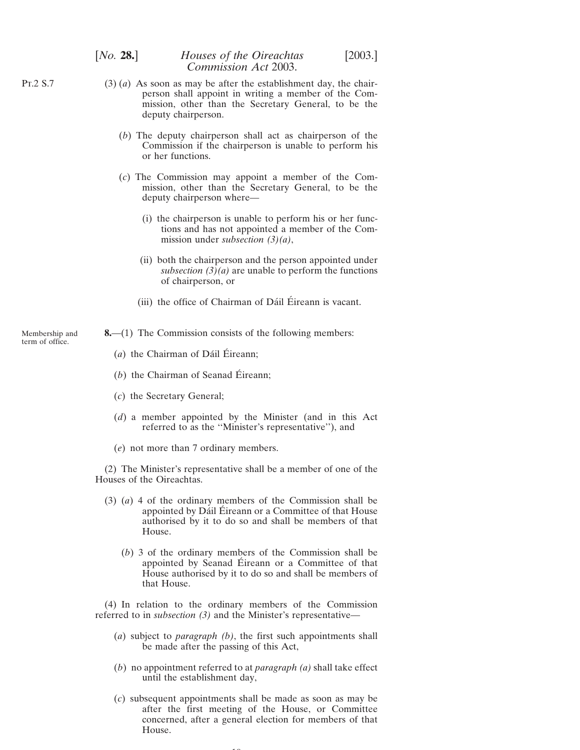## <span id="page-9-0"></span>[*No.* **28.**] *Houses of the Oireachtas* [2003.] *Commission Act* 2003.

- (3) (*a*) As soon as may be after the establishment day, the chairperson shall appoint in writing a member of the Commission, other than the Secretary General, to be the deputy chairperson.
	- (*b*) The deputy chairperson shall act as chairperson of the Commission if the chairperson is unable to perform his or her functions.
	- (*c*) The Commission may appoint a member of the Commission, other than the Secretary General, to be the deputy chairperson where—
		- (i) the chairperson is unable to perform his or her functions and has not appointed a member of the Commission under *subsection (3)(a)*,
		- (ii) both the chairperson and the person appointed under *subsection*  $\overline{(3)}(a)$  are unable to perform the functions of chairperson, or
		- (iii) the office of Chairman of Dáil Éireann is vacant.
- **8.**—(1) The Commission consists of the following members:
	- $(a)$  the Chairman of Dáil Éireann;
	- $(b)$  the Chairman of Seanad Éireann;
	- (*c*) the Secretary General;
	- (*d*) a member appointed by the Minister (and in this Act referred to as the ''Minister's representative''), and
	- (*e*) not more than 7 ordinary members.

(2) The Minister's representative shall be a member of one of the Houses of the Oireachtas.

- (3) (*a*) 4 of the ordinary members of the Commission shall be appointed by Dáil Éireann or a Committee of that House authorised by it to do so and shall be members of that House.
	- (*b*) 3 of the ordinary members of the Commission shall be appointed by Seanad Éireann or a Committee of that House authorised by it to do so and shall be members of that House.

(4) In relation to the ordinary members of the Commission referred to in *subsection (3)* and the Minister's representative—

- (*a*) subject to *paragraph (b)*, the first such appointments shall be made after the passing of this Act,
- (*b*) no appointment referred to at *paragraph (a)* shall take effect until the establishment day,
- (*c*) subsequent appointments shall be made as soon as may be after the first meeting of the House, or Committee concerned, after a general election for members of that House.

 $\sim$ 

Membership and term of office.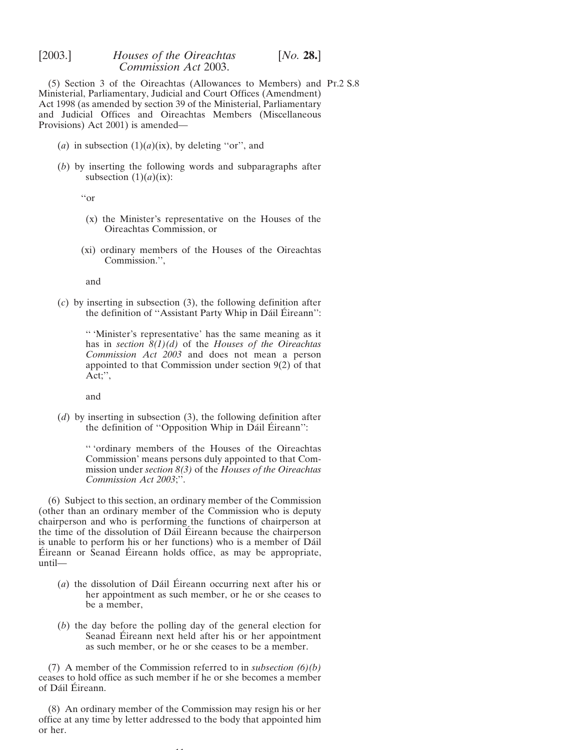(5) Section 3 of the Oireachtas (Allowances to Members) and Pt.2 S.8 Ministerial, Parliamentary, Judicial and Court Offices (Amendment) Act 1998 (as amended by section 39 of the Ministerial, Parliamentary and Judicial Offices and Oireachtas Members (Miscellaneous Provisions) Act 2001) is amended—

- (*a*) in subsection  $(1)(a)(ix)$ , by deleting "or", and
- (*b*) by inserting the following words and subparagraphs after subsection  $(1)(a)(ix)$ :

''or

- (x) the Minister's representative on the Houses of the Oireachtas Commission, or
- (xi) ordinary members of the Houses of the Oireachtas Commission.'',

and

(*c*) by inserting in subsection (3), the following definition after the definition of "Assistant Party Whip in Dáil Éireann":

'' 'Minister's representative' has the same meaning as it has in *section 8(1)(d)* of the *Houses of the Oireachtas Commission Act 2003* and does not mean a person appointed to that Commission under section  $9(2)$  of that Act;'',

and

(*d*) by inserting in subsection (3), the following definition after the definition of "Opposition Whip in Dáil Éireann":

> '' 'ordinary members of the Houses of the Oireachtas Commission' means persons duly appointed to that Commission under *section 8(3)* of the *Houses of the Oireachtas Commission Act 2003*;''.

(6) Subject to this section, an ordinary member of the Commission (other than an ordinary member of the Commission who is deputy chairperson and who is performing the functions of chairperson at the time of the dissolution of Dáil Éireann because the chairperson is unable to perform his or her functions) who is a member of Dáil  $Éireann$  or Seanad  $Éireann$  holds office, as may be appropriate, until—

- $(a)$  the dissolution of Dáil Éireann occurring next after his or her appointment as such member, or he or she ceases to be a member,
- (*b*) the day before the polling day of the general election for Seanad Éireann next held after his or her appointment as such member, or he or she ceases to be a member.

(7) A member of the Commission referred to in *subsection (6)(b)* ceases to hold office as such member if he or she becomes a member of Dáil Éireann.

(8) An ordinary member of the Commission may resign his or her office at any time by letter addressed to the body that appointed him or her.

11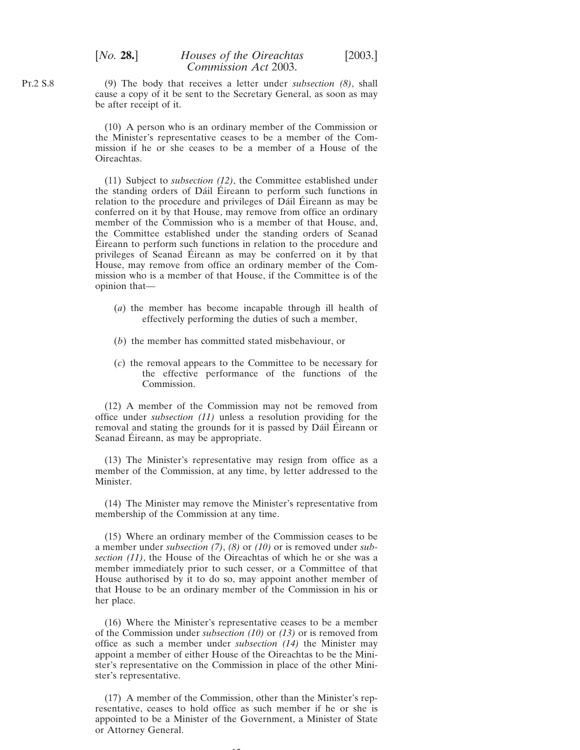(9) The body that receives a letter under *subsection (8)*, shall cause a copy of it be sent to the Secretary General, as soon as may be after receipt of it.

(10) A person who is an ordinary member of the Commission or the Minister's representative ceases to be a member of the Commission if he or she ceases to be a member of a House of the Oireachtas.

(11) Subject to *subsection (12)*, the Committee established under the standing orders of Dáil Eireann to perform such functions in relation to the procedure and privileges of Dáil Éireann as may be conferred on it by that House, may remove from office an ordinary member of the Commission who is a member of that House, and, the Committee established under the standing orders of Seanad Eireann to perform such functions in relation to the procedure and privileges of Seanad Eireann as may be conferred on it by that House, may remove from office an ordinary member of the Commission who is a member of that House, if the Committee is of the opinion that—

- (*a*) the member has become incapable through ill health of effectively performing the duties of such a member,
- (*b*) the member has committed stated misbehaviour, or
- (*c*) the removal appears to the Committee to be necessary for the effective performance of the functions of the Commission.

(12) A member of the Commission may not be removed from office under *subsection (11)* unless a resolution providing for the removal and stating the grounds for it is passed by Dáil Éireann or Seanad Éireann, as may be appropriate.

(13) The Minister's representative may resign from office as a member of the Commission, at any time, by letter addressed to the Minister.

(14) The Minister may remove the Minister's representative from membership of the Commission at any time.

(15) Where an ordinary member of the Commission ceases to be a member under *subsection (7)*, *(8)* or *(10)* or is removed under *subsection (11)*, the House of the Oireachtas of which he or she was a member immediately prior to such cesser, or a Committee of that House authorised by it to do so, may appoint another member of that House to be an ordinary member of the Commission in his or her place.

(16) Where the Minister's representative ceases to be a member of the Commission under *subsection (10)* or *(13)* or is removed from office as such a member under *subsection (14)* the Minister may appoint a member of either House of the Oireachtas to be the Minister's representative on the Commission in place of the other Minister's representative.

(17) A member of the Commission, other than the Minister's representative, ceases to hold office as such member if he or she is appointed to be a Minister of the Government, a Minister of State or Attorney General.

 $12$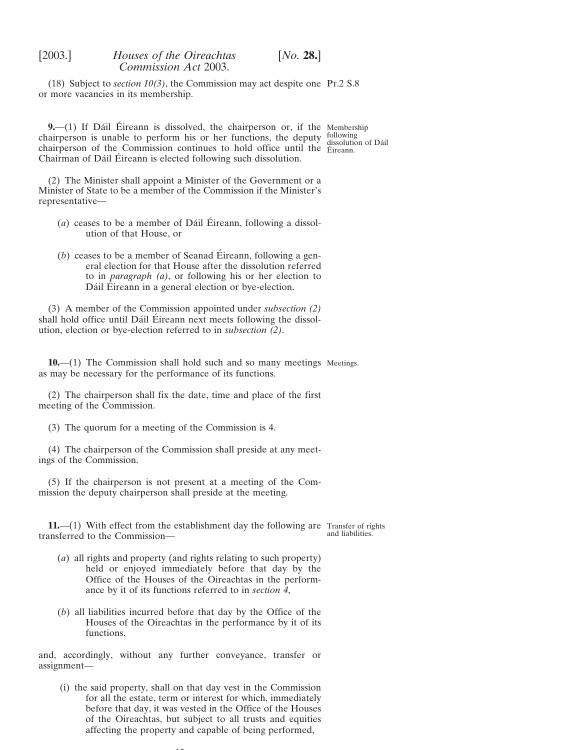<span id="page-12-0"></span>(18) Subject to *section 10(3)*, the Commission may act despite one Pt.2 S.8 or more vacancies in its membership.

**9.** (1) If Dáil Éireann is dissolved, the chairperson or, if the Membership chairperson is unable to perform his or her functions, the deputy following chairperson is analytic to perform this of the famellons, the depaty dissolution of Dáil chairperson of the Commission continues to hold office until the  $\frac{1}{2}$  Eireann. Chairman of Dáil Éireann is elected following such dissolution.

(2) The Minister shall appoint a Minister of the Government or a Minister of State to be a member of the Commission if the Minister's representative—

- $(a)$  ceases to be a member of Dáil Éireann, following a dissolution of that House, or
- $(b)$  ceases to be a member of Seanad Éireann, following a general election for that House after the dissolution referred to in *paragraph (a)*, or following his or her election to Dáil Éireann in a general election or bye-election.

(3) A member of the Commission appointed under *subsection (2)* shall hold office until Dáil Éireann next meets following the dissolution, election or bye-election referred to in *subsection (2)*.

**10.**—(1) The Commission shall hold such and so many meetings Meetings. as may be necessary for the performance of its functions.

(2) The chairperson shall fix the date, time and place of the first meeting of the Commission.

(3) The quorum for a meeting of the Commission is 4.

(4) The chairperson of the Commission shall preside at any meetings of the Commission.

(5) If the chairperson is not present at a meeting of the Commission the deputy chairperson shall preside at the meeting.

**11.**—(1) With effect from the establishment day the following are Transfer of rights transferred to the Commission and liabilities.

- (*a*) all rights and property (and rights relating to such property) held or enjoyed immediately before that day by the Office of the Houses of the Oireachtas in the performance by it of its functions referred to in *section 4*,
- (*b*) all liabilities incurred before that day by the Office of the Houses of the Oireachtas in the performance by it of its functions,

and, accordingly, without any further conveyance, transfer or assignment—

(i) the said property, shall on that day vest in the Commission for all the estate, term or interest for which, immediately before that day, it was vested in the Office of the Houses of the Oireachtas, but subject to all trusts and equities affecting the property and capable of being performed,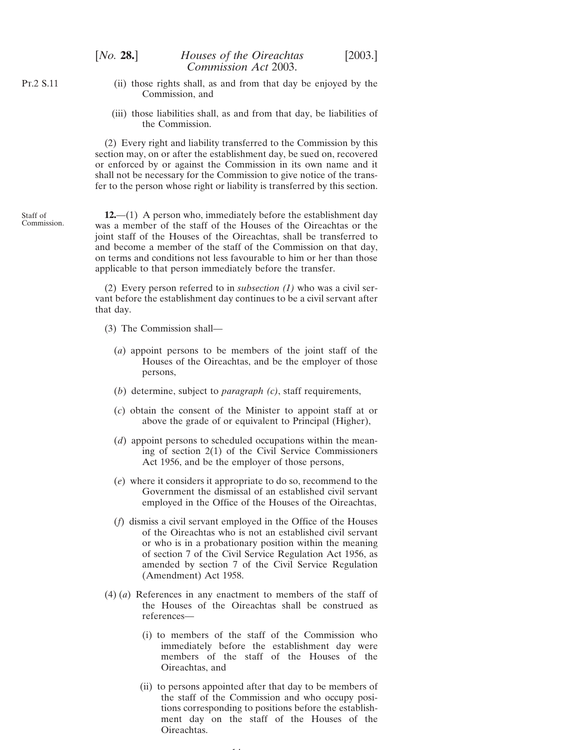<span id="page-13-0"></span>Pt.2 S.11

Staff of Commission.

- (ii) those rights shall, as and from that day be enjoyed by the Commission, and
- (iii) those liabilities shall, as and from that day, be liabilities of the Commission.

(2) Every right and liability transferred to the Commission by this section may, on or after the establishment day, be sued on, recovered or enforced by or against the Commission in its own name and it shall not be necessary for the Commission to give notice of the transfer to the person whose right or liability is transferred by this section.

**12.**—(1) A person who, immediately before the establishment day was a member of the staff of the Houses of the Oireachtas or the joint staff of the Houses of the Oireachtas, shall be transferred to and become a member of the staff of the Commission on that day, on terms and conditions not less favourable to him or her than those applicable to that person immediately before the transfer.

(2) Every person referred to in *subsection (1)* who was a civil servant before the establishment day continues to be a civil servant after that day.

- (3) The Commission shall—
	- (*a*) appoint persons to be members of the joint staff of the Houses of the Oireachtas, and be the employer of those persons,
	- (*b*) determine, subject to *paragraph (c)*, staff requirements,
	- (*c*) obtain the consent of the Minister to appoint staff at or above the grade of or equivalent to Principal (Higher),
	- (*d*) appoint persons to scheduled occupations within the meaning of section 2(1) of the Civil Service Commissioners Act 1956, and be the employer of those persons,
	- (*e*) where it considers it appropriate to do so, recommend to the Government the dismissal of an established civil servant employed in the Office of the Houses of the Oireachtas,
	- (*f*) dismiss a civil servant employed in the Office of the Houses of the Oireachtas who is not an established civil servant or who is in a probationary position within the meaning of section 7 of the Civil Service Regulation Act 1956, as amended by section 7 of the Civil Service Regulation (Amendment) Act 1958.
- (4) (*a*) References in any enactment to members of the staff of the Houses of the Oireachtas shall be construed as references—
	- (i) to members of the staff of the Commission who immediately before the establishment day were members of the staff of the Houses of the Oireachtas, and
	- (ii) to persons appointed after that day to be members of the staff of the Commission and who occupy positions corresponding to positions before the establishment day on the staff of the Houses of the Oireachtas.

14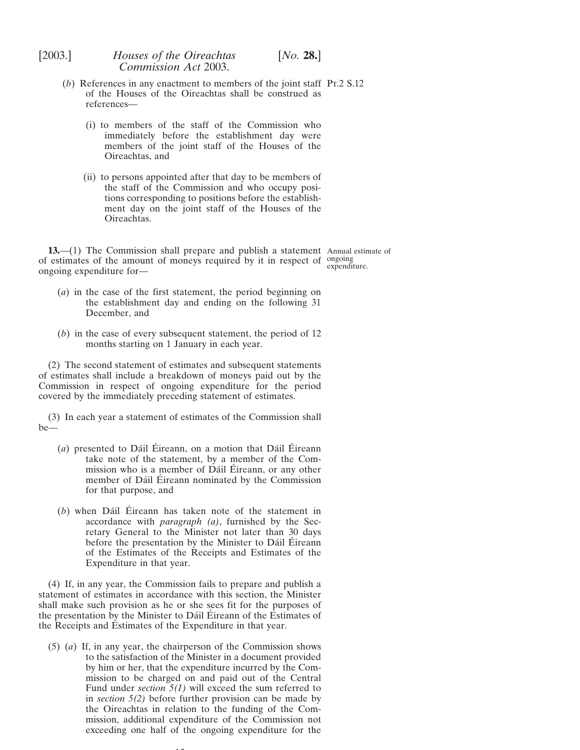- <span id="page-14-0"></span>(*b*) References in any enactment to members of the joint staff Pt.2 S.12 of the Houses of the Oireachtas shall be construed as references—
	- (i) to members of the staff of the Commission who immediately before the establishment day were members of the joint staff of the Houses of the Oireachtas, and
	- (ii) to persons appointed after that day to be members of the staff of the Commission and who occupy positions corresponding to positions before the establishment day on the joint staff of the Houses of the Oireachtas.

**13.**—(1) The Commission shall prepare and publish a statement Annual estimate of of estimates of the amount of moneys required by it in respect of ongoing expenditure. ongoing expenditure for—

- (*a*) in the case of the first statement, the period beginning on the establishment day and ending on the following 31 December, and
- (*b*) in the case of every subsequent statement, the period of 12 months starting on 1 January in each year.

(2) The second statement of estimates and subsequent statements of estimates shall include a breakdown of moneys paid out by the Commission in respect of ongoing expenditure for the period covered by the immediately preceding statement of estimates.

(3) In each year a statement of estimates of the Commission shall be—

- $(a)$  presented to Dáil Éireann, on a motion that Dáil Éireann take note of the statement, by a member of the Commission who is a member of Dáil Éireann, or any other member of Dáil Éireann nominated by the Commission for that purpose, and
- $(b)$  when Dáil Éireann has taken note of the statement in accordance with *paragraph (a)*, furnished by the Secretary General to the Minister not later than 30 days before the presentation by the Minister to Dáil Éireann of the Estimates of the Receipts and Estimates of the Expenditure in that year.

(4) If, in any year, the Commission fails to prepare and publish a statement of estimates in accordance with this section, the Minister shall make such provision as he or she sees fit for the purposes of the presentation by the Minister to Dáil Éireann of the Estimates of the Receipts and Estimates of the Expenditure in that year.

(5) (*a*) If, in any year, the chairperson of the Commission shows to the satisfaction of the Minister in a document provided by him or her, that the expenditure incurred by the Commission to be charged on and paid out of the Central Fund under *section 5(1)* will exceed the sum referred to in *section 5(2)* before further provision can be made by the Oireachtas in relation to the funding of the Commission, additional expenditure of the Commission not exceeding one half of the ongoing expenditure for the

15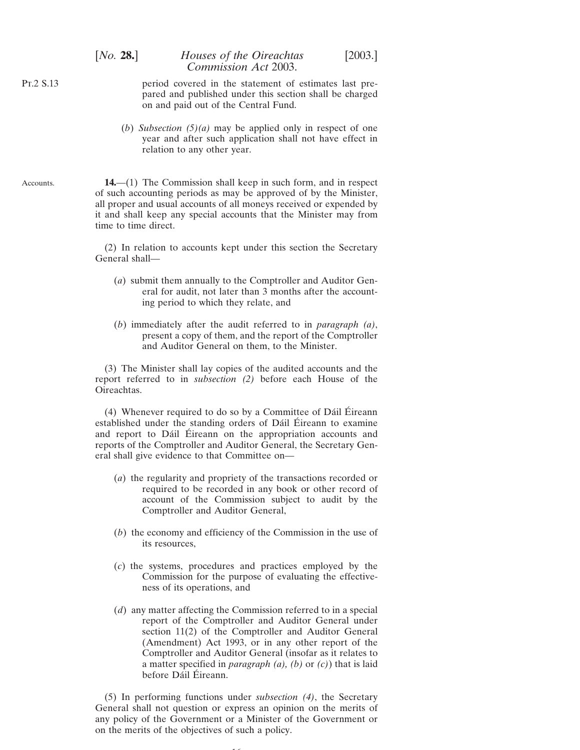<span id="page-15-0"></span>Pt.2 S.13

Accounts.

period covered in the statement of estimates last prepared and published under this section shall be charged on and paid out of the Central Fund.

(*b*) *Subsection (5)(a)* may be applied only in respect of one year and after such application shall not have effect in relation to any other year.

**14.**—(1) The Commission shall keep in such form, and in respect of such accounting periods as may be approved of by the Minister, all proper and usual accounts of all moneys received or expended by it and shall keep any special accounts that the Minister may from time to time direct.

> (2) In relation to accounts kept under this section the Secretary General shall—

- (*a*) submit them annually to the Comptroller and Auditor General for audit, not later than 3 months after the accounting period to which they relate, and
- (*b*) immediately after the audit referred to in *paragraph (a)*, present a copy of them, and the report of the Comptroller and Auditor General on them, to the Minister.

(3) The Minister shall lay copies of the audited accounts and the report referred to in *subsection (2)* before each House of the Oireachtas.

 $(4)$  Whenever required to do so by a Committee of Dáil Éireann established under the standing orders of Dáil Éireann to examine and report to Dáil Éireann on the appropriation accounts and reports of the Comptroller and Auditor General, the Secretary General shall give evidence to that Committee on—

- (*a*) the regularity and propriety of the transactions recorded or required to be recorded in any book or other record of account of the Commission subject to audit by the Comptroller and Auditor General,
- (*b*) the economy and efficiency of the Commission in the use of its resources,
- (*c*) the systems, procedures and practices employed by the Commission for the purpose of evaluating the effectiveness of its operations, and
- (*d*) any matter affecting the Commission referred to in a special report of the Comptroller and Auditor General under section 11(2) of the Comptroller and Auditor General (Amendment) Act 1993, or in any other report of the Comptroller and Auditor General (insofar as it relates to a matter specified in *paragraph (a), (b)* or *(c)*) that is laid before Dáil Éireann.

(5) In performing functions under *subsection (4)*, the Secretary General shall not question or express an opinion on the merits of any policy of the Government or a Minister of the Government or on the merits of the objectives of such a policy.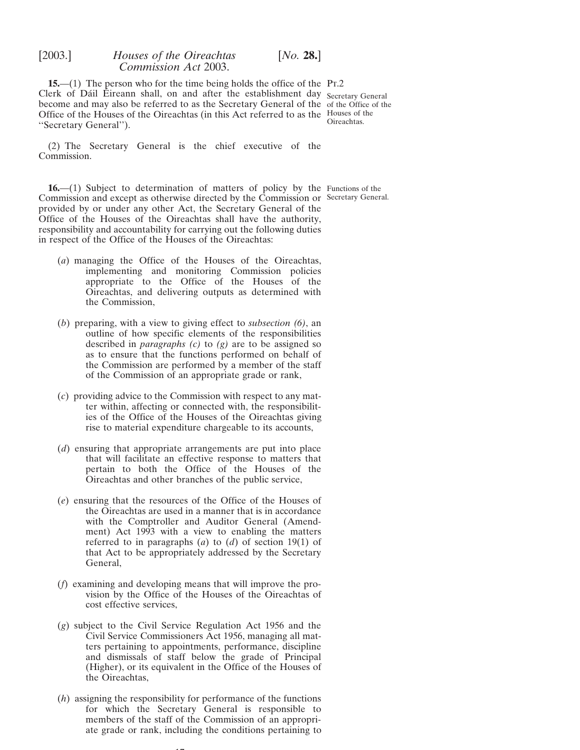<span id="page-16-0"></span>**15.**—(1) The person who for the time being holds the office of the Pr.2 Clerk of Dáil Éireann shall, on and after the establishment day Secretary General become and may also be referred to as the Secretary General of the of the Office of the Office of the Houses of the Oireachtas (in this Act referred to as the Houses of the ''Secretary General'').

Oireachtas.

(2) The Secretary General is the chief executive of the Commission.

**16.**—(1) Subject to determination of matters of policy by the Functions of the Commission and except as otherwise directed by the Commission or Secretary General.provided by or under any other Act, the Secretary General of the Office of the Houses of the Oireachtas shall have the authority, responsibility and accountability for carrying out the following duties in respect of the Office of the Houses of the Oireachtas:

- (*a*) managing the Office of the Houses of the Oireachtas, implementing and monitoring Commission policies appropriate to the Office of the Houses of the Oireachtas, and delivering outputs as determined with the Commission,
- (*b*) preparing, with a view to giving effect to *subsection (6)*, an outline of how specific elements of the responsibilities described in *paragraphs (c)* to *(g)* are to be assigned so as to ensure that the functions performed on behalf of the Commission are performed by a member of the staff of the Commission of an appropriate grade or rank,
- (*c*) providing advice to the Commission with respect to any matter within, affecting or connected with, the responsibilities of the Office of the Houses of the Oireachtas giving rise to material expenditure chargeable to its accounts,
- (*d*) ensuring that appropriate arrangements are put into place that will facilitate an effective response to matters that pertain to both the Office of the Houses of the Oireachtas and other branches of the public service,
- (*e*) ensuring that the resources of the Office of the Houses of the Oireachtas are used in a manner that is in accordance with the Comptroller and Auditor General (Amendment) Act 1993 with a view to enabling the matters referred to in paragraphs (*a*) to (*d*) of section 19(1) of that Act to be appropriately addressed by the Secretary General,
- (*f*) examining and developing means that will improve the provision by the Office of the Houses of the Oireachtas of cost effective services,
- (*g*) subject to the Civil Service Regulation Act 1956 and the Civil Service Commissioners Act 1956, managing all matters pertaining to appointments, performance, discipline and dismissals of staff below the grade of Principal (Higher), or its equivalent in the Office of the Houses of the Oireachtas,
- (*h*) assigning the responsibility for performance of the functions for which the Secretary General is responsible to members of the staff of the Commission of an appropriate grade or rank, including the conditions pertaining to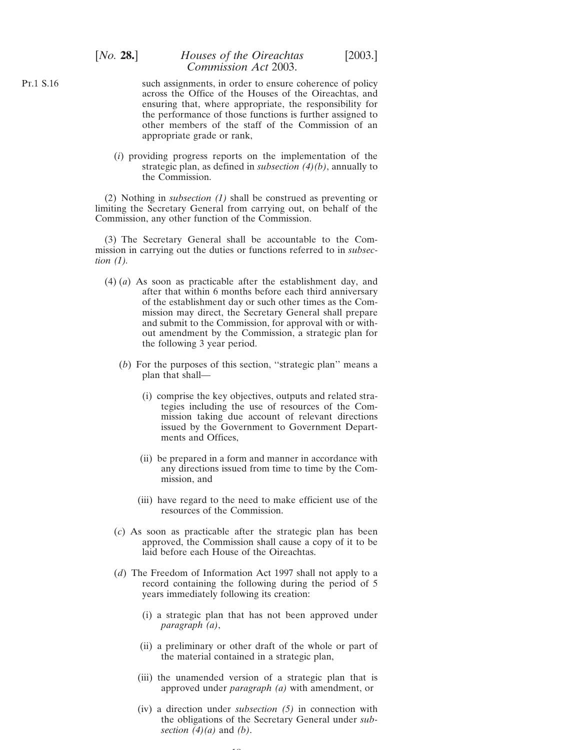# [*No.* **28.**] *Houses of the Oireachtas* [2003.] *Commission Act* 2003.

- such assignments, in order to ensure coherence of policy across the Office of the Houses of the Oireachtas, and ensuring that, where appropriate, the responsibility for the performance of those functions is further assigned to other members of the staff of the Commission of an appropriate grade or rank,
- (*i*) providing progress reports on the implementation of the strategic plan, as defined in *subsection (4)(b)*, annually to the Commission.

(2) Nothing in *subsection (1)* shall be construed as preventing or limiting the Secretary General from carrying out, on behalf of the Commission, any other function of the Commission.

(3) The Secretary General shall be accountable to the Commission in carrying out the duties or functions referred to in *subsection (1).*

- (4) (*a*) As soon as practicable after the establishment day, and after that within 6 months before each third anniversary of the establishment day or such other times as the Commission may direct, the Secretary General shall prepare and submit to the Commission, for approval with or without amendment by the Commission, a strategic plan for the following 3 year period.
	- (*b*) For the purposes of this section, ''strategic plan'' means a plan that shall—
		- (i) comprise the key objectives, outputs and related strategies including the use of resources of the Commission taking due account of relevant directions issued by the Government to Government Departments and Offices,
		- (ii) be prepared in a form and manner in accordance with any directions issued from time to time by the Commission, and
		- (iii) have regard to the need to make efficient use of the resources of the Commission.
	- (*c*) As soon as practicable after the strategic plan has been approved, the Commission shall cause a copy of it to be laid before each House of the Oireachtas.
	- (*d*) The Freedom of Information Act 1997 shall not apply to a record containing the following during the period of 5 years immediately following its creation:
		- (i) a strategic plan that has not been approved under *paragraph (a)*,
		- (ii) a preliminary or other draft of the whole or part of the material contained in a strategic plan,
		- (iii) the unamended version of a strategic plan that is approved under *paragraph (a)* with amendment, or
		- (iv) a direction under *subsection (5)* in connection with the obligations of the Secretary General under *subsection (4)(a)* and *(b)*.

 $\sim$ 

Pt.1 S.16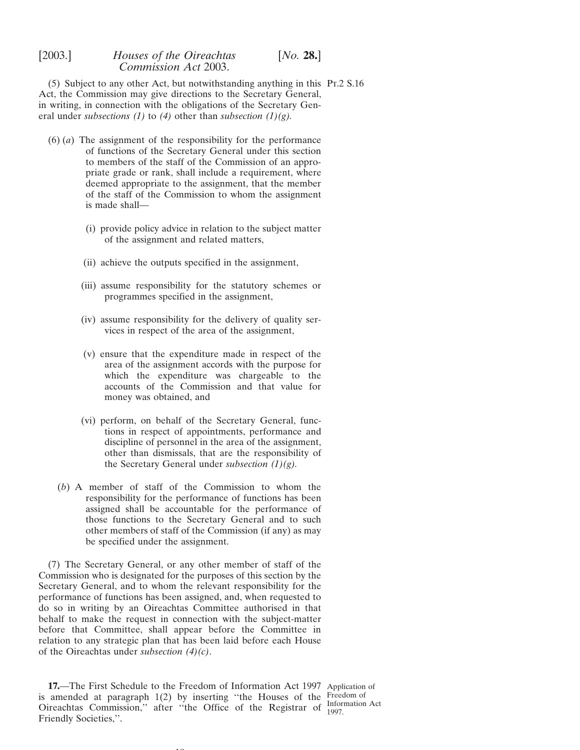<span id="page-18-0"></span>(5) Subject to any other Act, but notwithstanding anything in this Pt.2 S.16 Act, the Commission may give directions to the Secretary General, in writing, in connection with the obligations of the Secretary General under *subsections (1)* to *(4)* other than *subsection (1)(g).*

- (6) (*a*) The assignment of the responsibility for the performance of functions of the Secretary General under this section to members of the staff of the Commission of an appropriate grade or rank, shall include a requirement, where deemed appropriate to the assignment, that the member of the staff of the Commission to whom the assignment is made shall—
	- (i) provide policy advice in relation to the subject matter of the assignment and related matters,
	- (ii) achieve the outputs specified in the assignment,
	- (iii) assume responsibility for the statutory schemes or programmes specified in the assignment,
	- (iv) assume responsibility for the delivery of quality services in respect of the area of the assignment,
	- (v) ensure that the expenditure made in respect of the area of the assignment accords with the purpose for which the expenditure was chargeable to the accounts of the Commission and that value for money was obtained, and
	- (vi) perform, on behalf of the Secretary General, functions in respect of appointments, performance and discipline of personnel in the area of the assignment, other than dismissals, that are the responsibility of the Secretary General under *subsection (1)(g).*
	- (*b*) A member of staff of the Commission to whom the responsibility for the performance of functions has been assigned shall be accountable for the performance of those functions to the Secretary General and to such other members of staff of the Commission (if any) as may be specified under the assignment.

(7) The Secretary General, or any other member of staff of the Commission who is designated for the purposes of this section by the Secretary General, and to whom the relevant responsibility for the performance of functions has been assigned, and, when requested to do so in writing by an Oireachtas Committee authorised in that behalf to make the request in connection with the subject-matter before that Committee, shall appear before the Committee in relation to any strategic plan that has been laid before each House of the Oireachtas under *subsection (4)(c)*.

**17.**—The First Schedule to the Freedom of Information Act 1997 Application of is amended at paragraph 1(2) by inserting ''the Houses of the Freedom of Oireachtas Commission," after "the Office of the Registrar of  $\frac{\text{Information Act}}{1007}$ Friendly Societies,''.

 $\sim$ 

1997.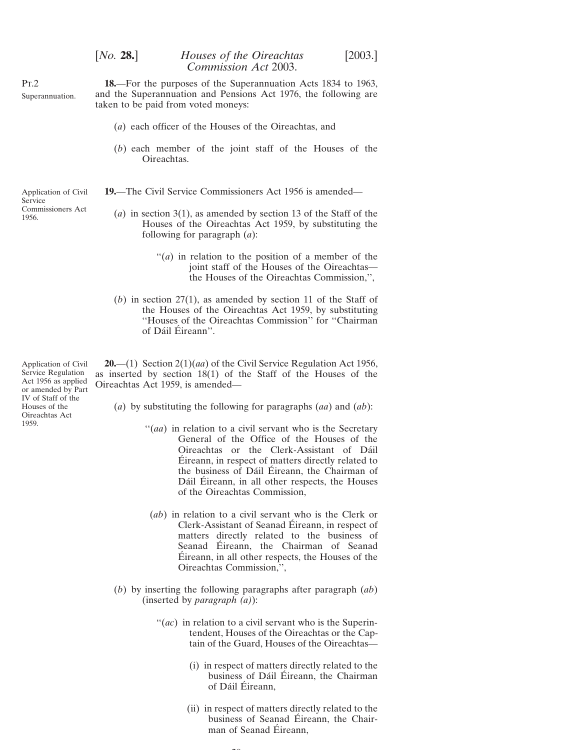| [ <i>No.</i> 28.] | Houses of the Oireachtas | [2003.] |
|-------------------|--------------------------|---------|
|                   | Commission Act 2003.     |         |

<span id="page-19-0"></span>Pt.2 Superannuation.

**Service** 

1956.

Commissioners Act

**18.**—For the purposes of the Superannuation Acts 1834 to 1963, and the Superannuation and Pensions Act 1976, the following are taken to be paid from voted moneys:

- (*a*) each officer of the Houses of the Oireachtas, and
- (*b*) each member of the joint staff of the Houses of the Oireachtas.
- Application of Civil **19.**—The Civil Service Commissioners Act 1956 is amended—
	- (*a*) in section 3(1), as amended by section 13 of the Staff of the Houses of the Oireachtas Act 1959, by substituting the following for paragraph (*a*):
		- ''(*a*) in relation to the position of a member of the joint staff of the Houses of the Oireachtas the Houses of the Oireachtas Commission,'',
	- (*b*) in section 27(1), as amended by section 11 of the Staff of the Houses of the Oireachtas Act 1959, by substituting ''Houses of the Oireachtas Commission'' for ''Chairman of Dáil Éireann".

Application of Civil **20.**—(1) Section 2(1)(*aa*) of the Civil Service Regulation Act 1956, as inserted by section 18(1) of the Staff of the Houses of the Oireachtas Act 1959, is amended—

- (*a*) by substituting the following for paragraphs (*aa*) and (*ab*):
	- "(*aa*) in relation to a civil servant who is the Secretary General of the Office of the Houses of the Oireachtas or the Clerk-Assistant of Da´il Éireann, in respect of matters directly related to the business of Dáil Éireann, the Chairman of Dáil Éireann, in all other respects, the Houses of the Oireachtas Commission,
	- (*ab*) in relation to a civil servant who is the Clerk or Clerk-Assistant of Seanad Éireann, in respect of matters directly related to the business of Seanad Éireann, the Chairman of Seanad Eireann, in all other respects, the Houses of the Oireachtas Commission,'',
- (*b*) by inserting the following paragraphs after paragraph (*ab*) (inserted by *paragraph (a)*):

 $\sim$ 

- ''(*ac*) in relation to a civil servant who is the Superintendent, Houses of the Oireachtas or the Captain of the Guard, Houses of the Oireachtas—
	- (i) in respect of matters directly related to the business of Dáil Éireann, the Chairman of Dáil Éireann,
	- (ii) in respect of matters directly related to the business of Seanad Éireann, the Chairman of Seanad Éireann.

Service Regulation Act 1956 as applied or amended by Part IV of Staff of the Houses of the Oireachtas Act 1959.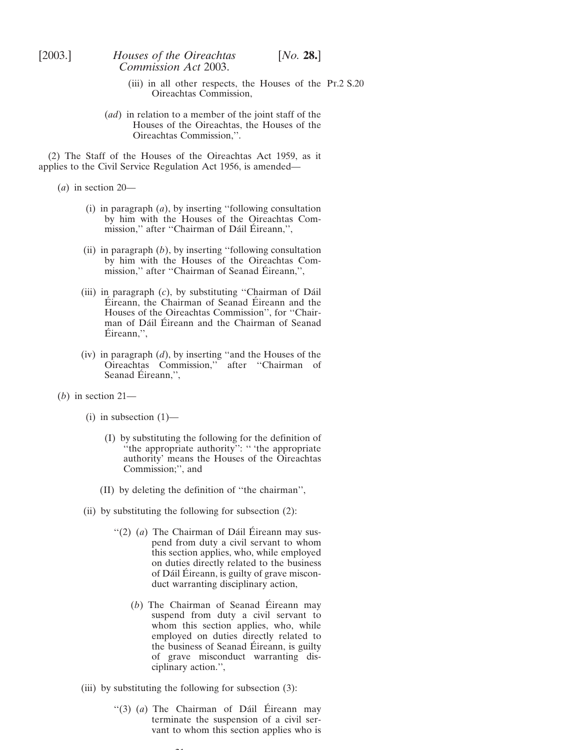- (iii) in all other respects, the Houses of the Pt.2 S.20 Oireachtas Commission,
- (*ad*) in relation to a member of the joint staff of the Houses of the Oireachtas, the Houses of the Oireachtas Commission,''.

(2) The Staff of the Houses of the Oireachtas Act 1959, as it applies to the Civil Service Regulation Act 1956, is amended—

(*a*) in section 20—

- (i) in paragraph (*a*), by inserting ''following consultation by him with the Houses of the Oireachtas Commission," after "Chairman of Dáil Éireann,",
- (ii) in paragraph (*b*), by inserting ''following consultation by him with the Houses of the Oireachtas Commission," after "Chairman of Seanad Éireann,",
- (iii) in paragraph (*c*), by substituting ''Chairman of Da´il Éireann, the Chairman of Seanad Éireann and the Houses of the Oireachtas Commission'', for ''Chairman of Dáil Éireann and the Chairman of Seanad  $Éireann,$ '',
- (iv) in paragraph (*d*), by inserting ''and the Houses of the Oireachtas Commission,'' after ''Chairman of Seanad Éireann,",
- (*b*) in section 21—
	- (i) in subsection  $(1)$ 
		- (I) by substituting the following for the definition of "the appropriate authority": " 'the appropriate authority' means the Houses of the Oireachtas Commission;'', and
		- (II) by deleting the definition of ''the chairman'',
	- (ii) by substituting the following for subsection  $(2)$ :
		- "(2) (a) The Chairman of Dáil Éireann may suspend from duty a civil servant to whom this section applies, who, while employed on duties directly related to the business of Dáil Éireann, is guilty of grave misconduct warranting disciplinary action,
			- $(b)$  The Chairman of Seanad Éireann may suspend from duty a civil servant to whom this section applies, who, while employed on duties directly related to the business of Seanad Eireann, is guilty of grave misconduct warranting disciplinary action.'',
	- (iii) by substituting the following for subsection (3):

 $21$ 

"(3)  $(a)$  The Chairman of Dáil Éireann may terminate the suspension of a civil servant to whom this section applies who is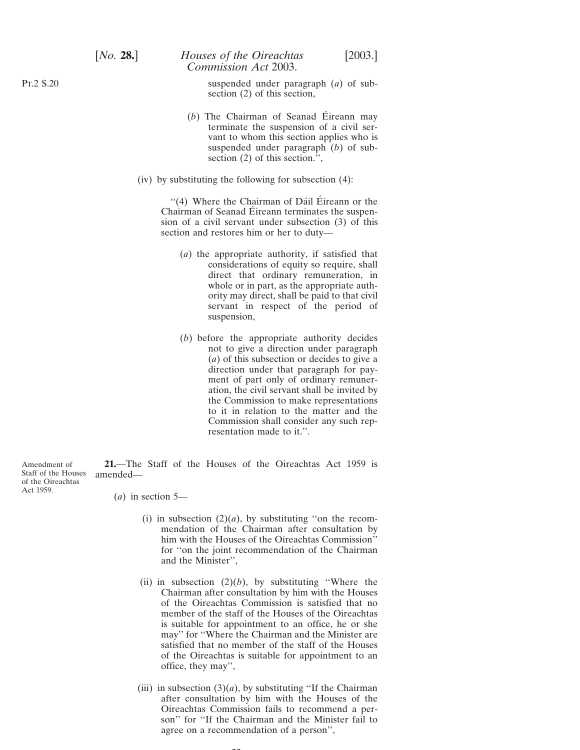suspended under paragraph (*a*) of subsection (2) of this section,

- $(b)$  The Chairman of Seanad Éireann may terminate the suspension of a civil servant to whom this section applies who is suspended under paragraph (*b*) of subsection (2) of this section.'',
- (iv) by substituting the following for subsection (4):

"(4) Where the Chairman of Dáil Éireann or the Chairman of Seanad Éireann terminates the suspension of a civil servant under subsection (3) of this section and restores him or her to duty—

- (*a*) the appropriate authority, if satisfied that considerations of equity so require, shall direct that ordinary remuneration, in whole or in part, as the appropriate authority may direct, shall be paid to that civil servant in respect of the period of suspension,
- (*b*) before the appropriate authority decides not to give a direction under paragraph (*a*) of this subsection or decides to give a direction under that paragraph for payment of part only of ordinary remuneration, the civil servant shall be invited by the Commission to make representations to it in relation to the matter and the Commission shall consider any such representation made to it.''.

Staff of the Houses amended— **21.**—The Staff of the Houses of the Oireachtas Act 1959 is

- (*a*) in section 5—
	- (i) in subsection  $(2)(a)$ , by substituting "on the recommendation of the Chairman after consultation by him with the Houses of the Oireachtas Commission'' for ''on the joint recommendation of the Chairman and the Minister'',
	- (ii) in subsection  $(2)(b)$ , by substituting "Where the Chairman after consultation by him with the Houses of the Oireachtas Commission is satisfied that no member of the staff of the Houses of the Oireachtas is suitable for appointment to an office, he or she may'' for ''Where the Chairman and the Minister are satisfied that no member of the staff of the Houses of the Oireachtas is suitable for appointment to an office, they may'',
	- (iii) in subsection  $(3)(a)$ , by substituting "If the Chairman" after consultation by him with the Houses of the Oireachtas Commission fails to recommend a person'' for ''If the Chairman and the Minister fail to agree on a recommendation of a person'',

 $\sim$ 

<span id="page-21-0"></span>Pt.2 S.20

Amendment of of the Oireachtas Act 1959.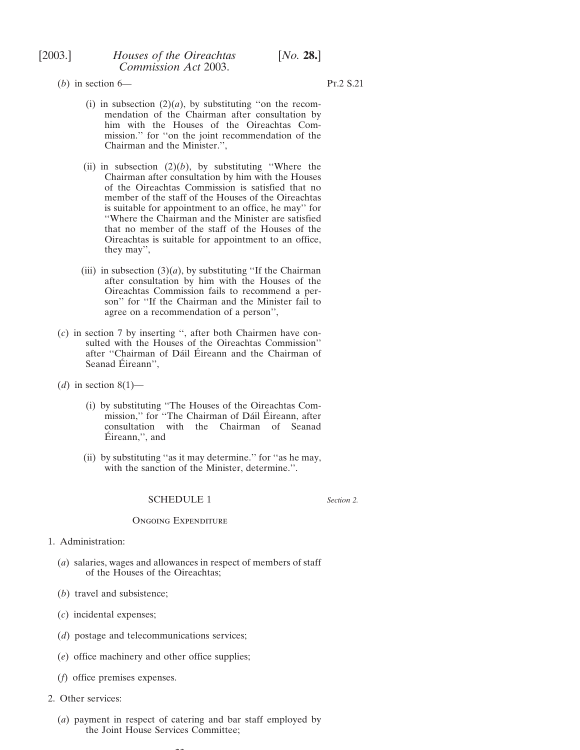<span id="page-22-0"></span>

(*b*) in section 6— Pt.2 S.21

- (i) in subsection  $(2)(a)$ , by substituting "on the recommendation of the Chairman after consultation by him with the Houses of the Oireachtas Commission.'' for ''on the joint recommendation of the Chairman and the Minister.'',
- (ii) in subsection  $(2)(b)$ , by substituting "Where the Chairman after consultation by him with the Houses of the Oireachtas Commission is satisfied that no member of the staff of the Houses of the Oireachtas is suitable for appointment to an office, he may'' for ''Where the Chairman and the Minister are satisfied that no member of the staff of the Houses of the Oireachtas is suitable for appointment to an office, they may'',
- (iii) in subsection  $(3)(a)$ , by substituting "If the Chairman" after consultation by him with the Houses of the Oireachtas Commission fails to recommend a person'' for ''If the Chairman and the Minister fail to agree on a recommendation of a person'',
- (*c*) in section 7 by inserting '', after both Chairmen have consulted with the Houses of the Oireachtas Commission'' after "Chairman of Dáil Éireann and the Chairman of Seanad Éireann",
- (*d*) in section  $8(1)$ 
	- (i) by substituting ''The Houses of the Oireachtas Commission," for "The Chairman of Dáil Éireann, after consultation with the Chairman of Seanad Éireann,", and
	- (ii) by substituting ''as it may determine.'' for ''as he may, with the sanction of the Minister, determine.''.

#### SCHEDULE 1

*Section 2.*

#### Ongoing Expenditure

- 1. Administration:
	- (*a*) salaries, wages and allowances in respect of members of staff of the Houses of the Oireachtas;
	- (*b*) travel and subsistence;
	- (*c*) incidental expenses;
	- (*d*) postage and telecommunications services;
	- (*e*) office machinery and other office supplies;
	- (*f*) office premises expenses.
- 2. Other services:
	- (*a*) payment in respect of catering and bar staff employed by the Joint House Services Committee;

 $\sim$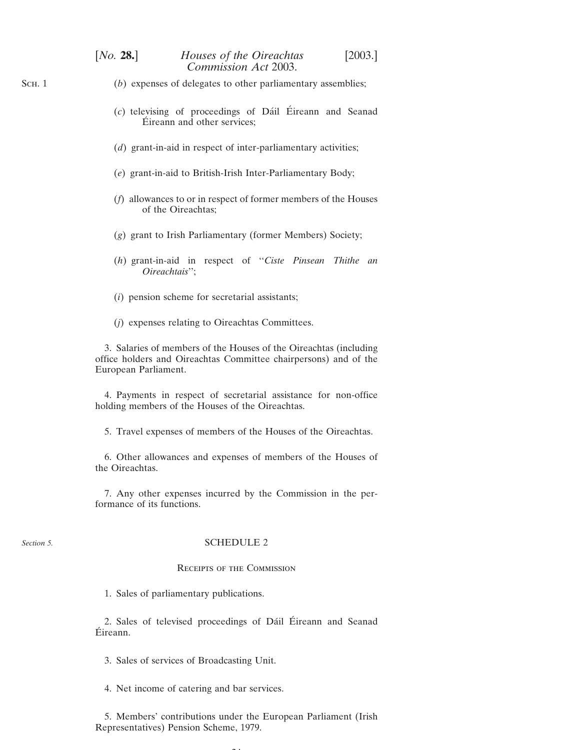| [No. 28.] | Houses of the Oireachtas | $[2003.]$ |
|-----------|--------------------------|-----------|
|           | Commission Act 2003.     |           |

- (*b*) expenses of delegates to other parliamentary assemblies;
	- (*c*) televising of proceedings of Dáil Éireann and Seanad Éireann and other services:
	- (*d*) grant-in-aid in respect of inter-parliamentary activities;
	- (*e*) grant-in-aid to British-Irish Inter-Parliamentary Body;
	- (*f*) allowances to or in respect of former members of the Houses of the Oireachtas;
	- (*g*) grant to Irish Parliamentary (former Members) Society;
	- (*h*) grant-in-aid in respect of ''*Ciste Pinsean Thithe an Oireachtais*'';
	- (*i*) pension scheme for secretarial assistants;
	- (*j*) expenses relating to Oireachtas Committees.

3. Salaries of members of the Houses of the Oireachtas (including office holders and Oireachtas Committee chairpersons) and of the European Parliament.

4. Payments in respect of secretarial assistance for non-office holding members of the Houses of the Oireachtas.

5. Travel expenses of members of the Houses of the Oireachtas.

6. Other allowances and expenses of members of the Houses of the Oireachtas.

7. Any other expenses incurred by the Commission in the performance of its functions.

#### *Section 5.*

#### SCHEDULE 2

## Receipts of the Commission

1. Sales of parliamentary publications.

2. Sales of televised proceedings of Dáil Éireann and Seanad Éireann.

3. Sales of services of Broadcasting Unit.

4. Net income of catering and bar services.

5. Members' contributions under the European Parliament (Irish Representatives) Pension Scheme, 1979.

<span id="page-23-0"></span>Sch. 1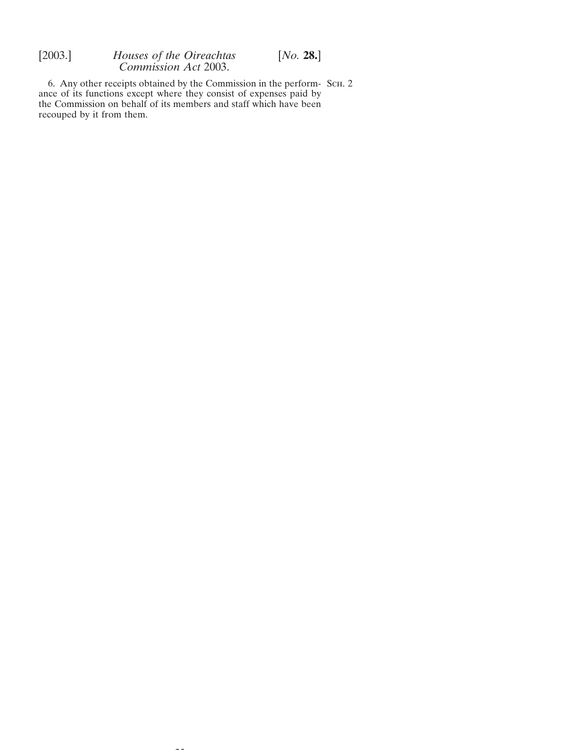6. Any other receipts obtained by the Commission in the perform- Sch. 2 ance of its functions except where they consist of expenses paid by the Commission on behalf of its members and staff which have been recouped by it from them.